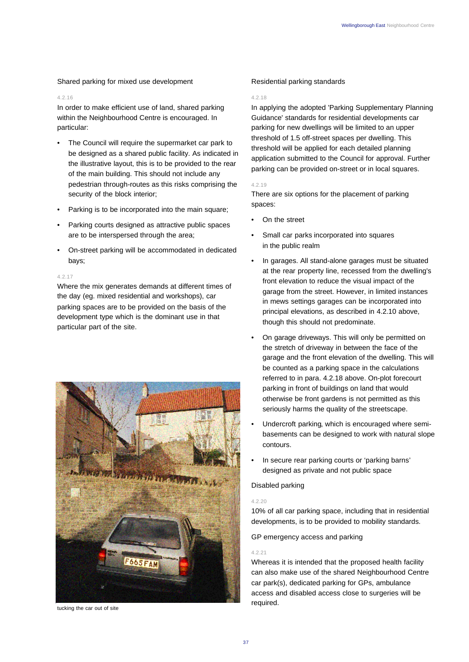Shared parking for mixed use development

### 4.2.16

In order to make efficient use of land, shared parking within the Neighbourhood Centre is encouraged. In particular:

- The Council will require the supermarket car park to be designed as a shared public facility. As indicated in the illustrative layout, this is to be provided to the rear of the main building. This should not include any pedestrian through-routes as this risks comprising the security of the block interior;
- Parking is to be incorporated into the main square;
- Parking courts designed as attractive public spaces are to be interspersed through the area;
- On-street parking will be accommodated in dedicated bays;

### 4.2.17

Where the mix generates demands at different times of the day (eg. mixed residential and workshops), car parking spaces are to be provided on the basis of the development type which is the dominant use in that particular part of the site.



tucking the car out of site

# Residential parking standards

#### 4.2.18

In applying the adopted 'Parking Supplementary Planning Guidance' standards for residential developments car parking for new dwellings will be limited to an upper threshold of 1.5 off-street spaces per dwelling. This threshold will be applied for each detailed planning application submitted to the Council for approval. Further parking can be provided on-street or in local squares.

### 4.2.19

There are six options for the placement of parking spaces:

- On the street
- Small car parks incorporated into squares in the public realm
- In garages. All stand-alone garages must be situated at the rear property line, recessed from the dwelling's front elevation to reduce the visual impact of the garage from the street. However, in limited instances in mews settings garages can be incorporated into principal elevations, as described in 4.2.10 above, though this should not predominate.
- On garage driveways. This will only be permitted on the stretch of driveway in between the face of the garage and the front elevation of the dwelling. This will be counted as a parking space in the calculations referred to in para. 4.2.18 above. On-plot forecourt parking in front of buildings on land that would otherwise be front gardens is not permitted as this seriously harms the quality of the streetscape.
- Undercroft parking, which is encouraged where semibasements can be designed to work with natural slope contours.
- In secure rear parking courts or 'parking barns' designed as private and not public space

# Disabled parking

### 4.2.20

10% of all car parking space, including that in residential developments, is to be provided to mobility standards.

GP emergency access and parking

### 4.2.21

Whereas it is intended that the proposed health facility can also make use of the shared Neighbourhood Centre car park(s), dedicated parking for GPs, ambulance access and disabled access close to surgeries will be required.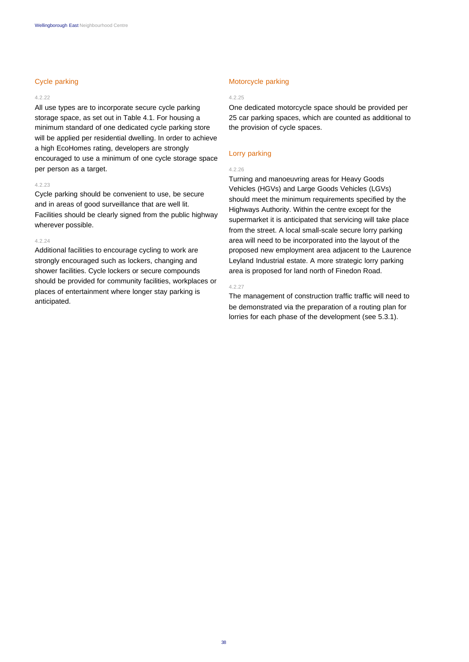# Cycle parking

#### 4.2.22

All use types are to incorporate secure cycle parking storage space, as set out in Table 4.1. For housing a minimum standard of one dedicated cycle parking store will be applied per residential dwelling. In order to achieve a high EcoHomes rating, developers are strongly encouraged to use a minimum of one cycle storage space per person as a target.

#### 4.2.23

Cycle parking should be convenient to use, be secure and in areas of good surveillance that are well lit. Facilities should be clearly signed from the public highway wherever possible.

#### 4.2.24

Additional facilities to encourage cycling to work are strongly encouraged such as lockers, changing and shower facilities. Cycle lockers or secure compounds should be provided for community facilities, workplaces or places of entertainment where longer stay parking is anticipated.

### Motorcycle parking

### 4.2.25

One dedicated motorcycle space should be provided per 25 car parking spaces, which are counted as additional to the provision of cycle spaces.

# Lorry parking

#### 4.2.26

Turning and manoeuvring areas for Heavy Goods Vehicles (HGVs) and Large Goods Vehicles (LGVs) should meet the minimum requirements specified by the Highways Authority. Within the centre except for the supermarket it is anticipated that servicing will take place from the street. A local small-scale secure lorry parking area will need to be incorporated into the layout of the proposed new employment area adjacent to the Laurence Leyland Industrial estate. A more strategic lorry parking area is proposed for land north of Finedon Road.

#### 4.2.27

The management of construction traffic traffic will need to be demonstrated via the preparation of a routing plan for lorries for each phase of the development (see 5.3.1).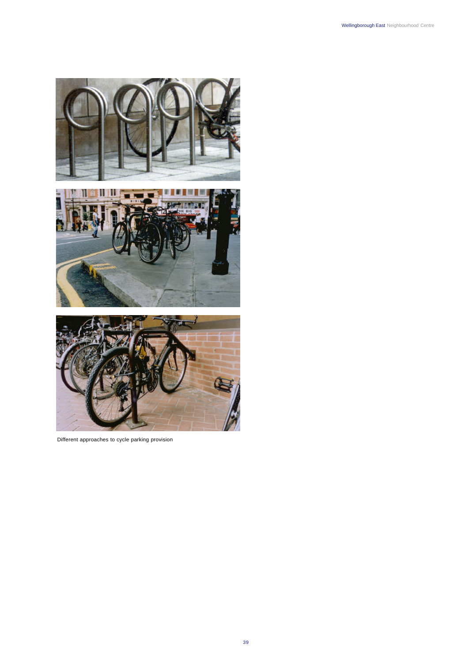

Different approaches to cycle parking provision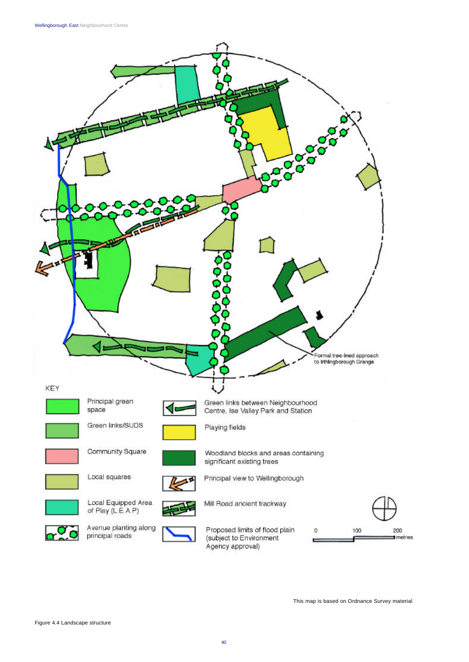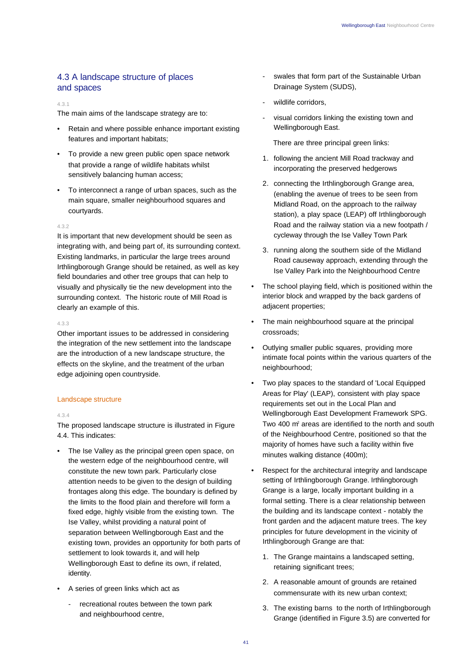# 4.3 A landscape structure of places and spaces

### 4.3.1

The main aims of the landscape strategy are to:

- Retain and where possible enhance important existing features and important habitats;
- To provide a new green public open space network that provide a range of wildlife habitats whilst sensitively balancing human access;
- To interconnect a range of urban spaces, such as the main square, smaller neighbourhood squares and courtyards.

### 4.3.2

It is important that new development should be seen as integrating with, and being part of, its surrounding context. Existing landmarks, in particular the large trees around Irthlingborough Grange should be retained, as well as key field boundaries and other tree groups that can help to visually and physically tie the new development into the surrounding context. The historic route of Mill Road is clearly an example of this.

### 4.3.3

Other important issues to be addressed in considering the integration of the new settlement into the landscape are the introduction of a new landscape structure, the effects on the skyline, and the treatment of the urban edge adjoining open countryside.

## Landscape structure

### 4.3.4

The proposed landscape structure is illustrated in Figure 4.4. This indicates:

- The Ise Valley as the principal green open space, on the western edge of the neighbourhood centre, will constitute the new town park. Particularly close attention needs to be given to the design of building frontages along this edge. The boundary is defined by the limits to the flood plain and therefore will form a fixed edge, highly visible from the existing town. The Ise Valley, whilst providing a natural point of separation between Wellingborough East and the existing town, provides an opportunity for both parts of settlement to look towards it, and will help Wellingborough East to define its own, if related, identity.
- A series of green links which act as
	- recreational routes between the town park and neighbourhood centre,
- swales that form part of the Sustainable Urban Drainage System (SUDS),
- wildlife corridors,
- visual corridors linking the existing town and Wellingborough East.

There are three principal green links:

- 1. following the ancient Mill Road trackway and incorporating the preserved hedgerows
- 2. connecting the Irthlingborough Grange area, (enabling the avenue of trees to be seen from Midland Road, on the approach to the railway station), a play space (LEAP) off Irthlingborough Road and the railway station via a new footpath / cycleway through the Ise Valley Town Park
- 3. running along the southern side of the Midland Road causeway approach, extending through the Ise Valley Park into the Neighbourhood Centre
- The school playing field, which is positioned within the interior block and wrapped by the back gardens of adjacent properties;
- The main neighbourhood square at the principal crossroads;
- Outlying smaller public squares, providing more intimate focal points within the various quarters of the neighbourhood;
- Two play spaces to the standard of 'Local Equipped Areas for Play' (LEAP), consistent with play space requirements set out in the Local Plan and Wellingborough East Development Framework SPG. Two 400 m<sup>2</sup> areas are identified to the north and south of the Neighbourhood Centre, positioned so that the majority of homes have such a facility within five minutes walking distance (400m);
- Respect for the architectural integrity and landscape setting of Irthlingborough Grange. Irthlingborough Grange is a large, locally important building in a formal setting. There is a clear relationship between the building and its landscape context - notably the front garden and the adjacent mature trees. The key principles for future development in the vicinity of Irthlingborough Grange are that:
	- 1. The Grange maintains a landscaped setting, retaining significant trees;
	- 2. A reasonable amount of grounds are retained commensurate with its new urban context;
	- 3. The existing barns to the north of Irthlingborough Grange (identified in Figure 3.5) are converted for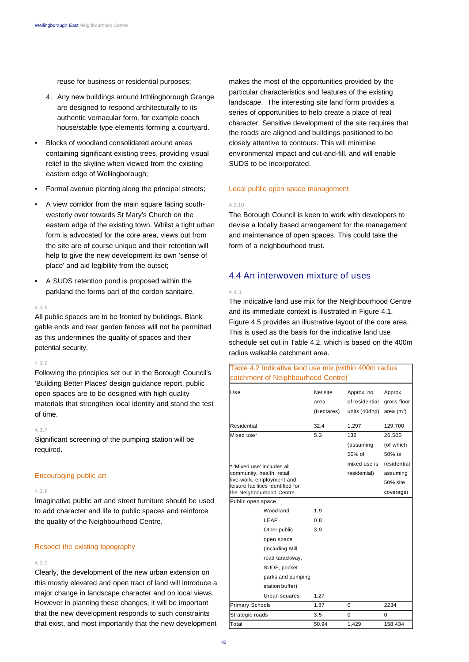reuse for business or residential purposes;

- 4. Any new buildings around Irthlingborough Grange are designed to respond architecturally to its authentic vernacular form, for example coach house/stable type elements forming a courtyard.
- Blocks of woodland consolidated around areas containing significant existing trees, providing visual relief to the skyline when viewed from the existing eastern edge of Wellingborough;
- Formal avenue planting along the principal streets;
- A view corridor from the main square facing southwesterly over towards St Mary's Church on the eastern edge of the existing town. Whilst a tight urban form is advocated for the core area, views out from the site are of course unique and their retention will help to give the new development its own 'sense of place' and aid legibility from the outset;
- A SUDS retention pond is proposed within the parkland the forms part of the cordon sanitaire.

### 4.3.5

All public spaces are to be fronted by buildings. Blank gable ends and rear garden fences will not be permitted as this undermines the quality of spaces and their potential security.

#### 4.3.6

Following the principles set out in the Borough Council's 'Building Better Places' design guidance report, public open spaces are to be designed with high quality materials that strengthen local identity and stand the test of time.

#### 4.3.7

Significant screening of the pumping station will be required.

### Encouraging public art

#### 4.3.8

Imaginative public art and street furniture should be used to add character and life to public spaces and reinforce the quality of the Neighbourhood Centre.

# Respect the existing topography

#### 4.3.9

Clearly, the development of the new urban extension on this mostly elevated and open tract of land will introduce a major change in landscape character and on local views. However in planning these changes, it will be important that the new development responds to such constraints that exist, and most importantly that the new development

makes the most of the opportunities provided by the particular characteristics and features of the existing landscape. The interesting site land form provides a series of opportunities to help create a place of real character. Sensitive development of the site requires that the roads are aligned and buildings positioned to be closely attentive to contours. This will minimise environmental impact and cut-and-fill, and will enable SUDS to be incorporated.

### Local public open space management

#### 4.3.10

The Borough Council is keen to work with developers to devise a locally based arrangement for the management and maintenance of open spaces. This could take the form of a neighbourhood trust.

# 4.4 An interwoven mixture of uses

#### 4.4.1

The indicative land use mix for the Neighbourhood Centre and its immediate context is illustrated in Figure 4.1. Figure 4.5 provides an illustrative layout of the core area. This is used as the basis for the indicative land use schedule set out in Table 4.2, which is based on the 400m radius walkable catchment area.

| Table 4.2 Indicative land use mix (within 400m radius          |                                |                                                |                                      |
|----------------------------------------------------------------|--------------------------------|------------------------------------------------|--------------------------------------|
| catchment of Neighbourhood Centre)                             |                                |                                                |                                      |
| Use                                                            | Net site<br>area<br>(Hectares) | Approx. no.<br>of residential<br>units (40dhp) | Approx<br>gross floor<br>area $(m2)$ |
| Residential                                                    | 32.4                           | 1,297                                          | 129,700                              |
| Mixed use*                                                     | 5.3                            | 132                                            | 26,500                               |
|                                                                |                                | (assuming                                      | (of which                            |
|                                                                |                                | 50% of                                         | 50% is                               |
| * 'Mixed use' includes all                                     |                                | mixed use is                                   | residential                          |
| community, health, retail,                                     |                                | residential)                                   | assuming                             |
| live-work, employment and<br>leisure facilities identified for |                                |                                                | 50% site                             |
| the Neighbourhood Centre.                                      |                                |                                                | coverage)                            |
| Public open space                                              |                                |                                                |                                      |
| Woodland                                                       | 1.9                            |                                                |                                      |
| LEAP                                                           | 0.8                            |                                                |                                      |
| Other public                                                   | 3.9                            |                                                |                                      |
| open space                                                     |                                |                                                |                                      |
| (including Mill                                                |                                |                                                |                                      |
| road tarackway,                                                |                                |                                                |                                      |
| SUDS, pocket                                                   |                                |                                                |                                      |
| parks and pumping                                              |                                |                                                |                                      |
| station buffer)                                                |                                |                                                |                                      |
| Urban squares                                                  | 1.27                           |                                                |                                      |
| <b>Primary Schools</b>                                         | 1.87                           | 0                                              | 2234                                 |
| Strategic roads                                                | 3.5                            | 0                                              | 0                                    |
| Total                                                          | 50.94                          | 1.429                                          | 158,434                              |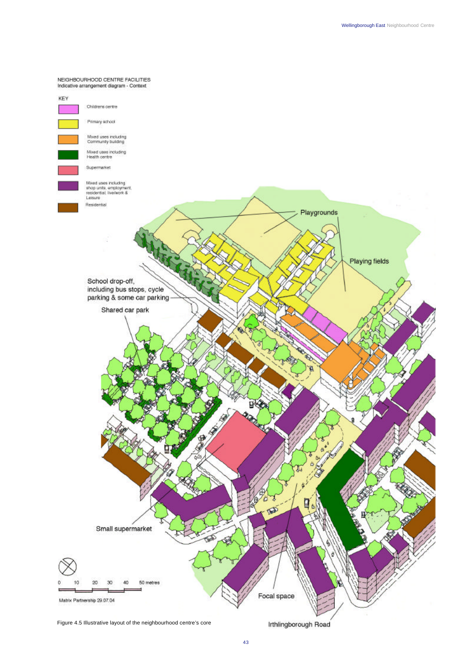